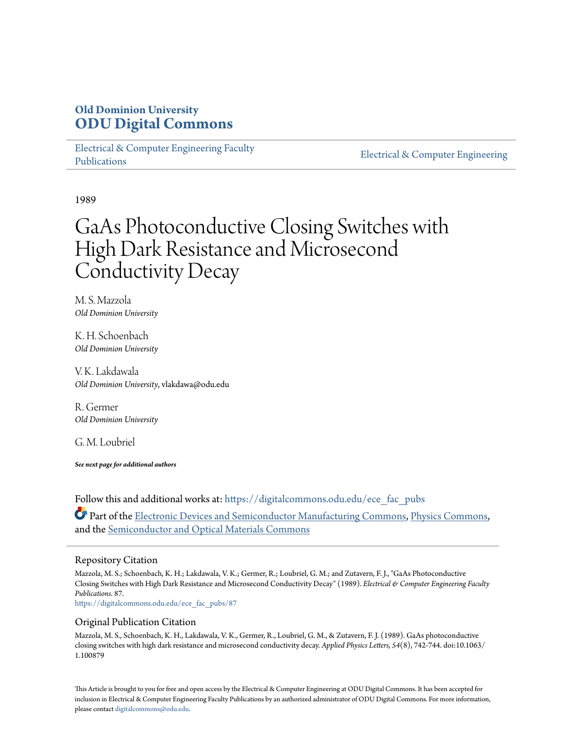# **Old Dominion University [ODU Digital Commons](https://digitalcommons.odu.edu?utm_source=digitalcommons.odu.edu%2Fece_fac_pubs%2F87&utm_medium=PDF&utm_campaign=PDFCoverPages)**

[Electrical & Computer Engineering Faculty](https://digitalcommons.odu.edu/ece_fac_pubs?utm_source=digitalcommons.odu.edu%2Fece_fac_pubs%2F87&utm_medium=PDF&utm_campaign=PDFCoverPages) [Publications](https://digitalcommons.odu.edu/ece_fac_pubs?utm_source=digitalcommons.odu.edu%2Fece_fac_pubs%2F87&utm_medium=PDF&utm_campaign=PDFCoverPages)

[Electrical & Computer Engineering](https://digitalcommons.odu.edu/ece?utm_source=digitalcommons.odu.edu%2Fece_fac_pubs%2F87&utm_medium=PDF&utm_campaign=PDFCoverPages)

1989

# GaAs Photoconductive Closing Switches with High Dark Resistance and Microsecond Conductivity Decay

M. S. Mazzola *Old Dominion University*

K. H. Schoenbach *Old Dominion University*

V. K. Lakdawala *Old Dominion University*, vlakdawa@odu.edu

R. Germer *Old Dominion University*

G. M. Loubriel

*See next page for additional authors*

Follow this and additional works at: [https://digitalcommons.odu.edu/ece\\_fac\\_pubs](https://digitalcommons.odu.edu/ece_fac_pubs?utm_source=digitalcommons.odu.edu%2Fece_fac_pubs%2F87&utm_medium=PDF&utm_campaign=PDFCoverPages) Part of the [Electronic Devices and Semiconductor Manufacturing Commons](http://network.bepress.com/hgg/discipline/272?utm_source=digitalcommons.odu.edu%2Fece_fac_pubs%2F87&utm_medium=PDF&utm_campaign=PDFCoverPages), [Physics Commons,](http://network.bepress.com/hgg/discipline/193?utm_source=digitalcommons.odu.edu%2Fece_fac_pubs%2F87&utm_medium=PDF&utm_campaign=PDFCoverPages) and the [Semiconductor and Optical Materials Commons](http://network.bepress.com/hgg/discipline/290?utm_source=digitalcommons.odu.edu%2Fece_fac_pubs%2F87&utm_medium=PDF&utm_campaign=PDFCoverPages)

#### Repository Citation

Mazzola, M. S.; Schoenbach, K. H.; Lakdawala, V. K.; Germer, R.; Loubriel, G. M.; and Zutavern, F. J., "GaAs Photoconductive Closing Switches with High Dark Resistance and Microsecond Conductivity Decay" (1989). *Electrical & Computer Engineering Faculty Publications*. 87.

[https://digitalcommons.odu.edu/ece\\_fac\\_pubs/87](https://digitalcommons.odu.edu/ece_fac_pubs/87?utm_source=digitalcommons.odu.edu%2Fece_fac_pubs%2F87&utm_medium=PDF&utm_campaign=PDFCoverPages)

#### Original Publication Citation

Mazzola, M. S., Schoenbach, K. H., Lakdawala, V. K., Germer, R., Loubriel, G. M., & Zutavern, F. J. (1989). GaAs photoconductive closing switches with high dark resistance and microsecond conductivity decay. *Applied Physics Letters, 54*(8), 742-744. doi:10.1063/ 1.100879

This Article is brought to you for free and open access by the Electrical & Computer Engineering at ODU Digital Commons. It has been accepted for inclusion in Electrical & Computer Engineering Faculty Publications by an authorized administrator of ODU Digital Commons. For more information, please contact [digitalcommons@odu.edu](mailto:digitalcommons@odu.edu).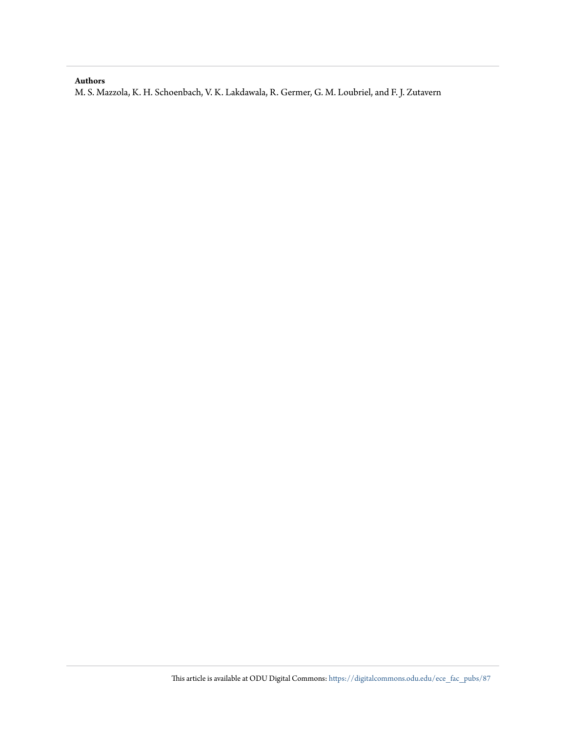#### **Authors**

M. S. Mazzola, K. H. Schoenbach, V. K. Lakdawala, R. Germer, G. M. Loubriel, and F. J. Zutavern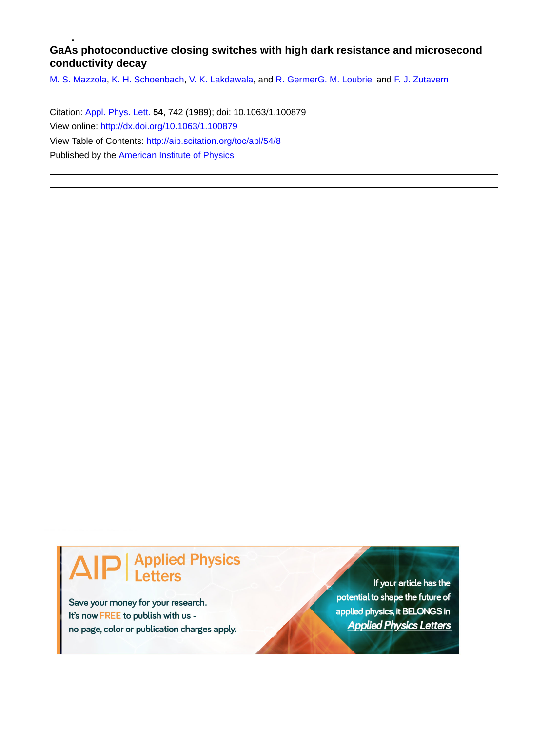### **GaAs photoconductive closing switches with high dark resistance and microsecond conductivity decay**

[M. S. Mazzola,](http://aip.scitation.org/author/Mazzola%2C+M+S) [K. H. Schoenbach,](http://aip.scitation.org/author/Schoenbach%2C+K+H) [V. K. Lakdawala,](http://aip.scitation.org/author/Lakdawala%2C+V+K) and [R. Germer](http://aip.scitation.org/author/Germer%2C+R)[G. M. Loubriel](http://aip.scitation.org/author/Loubriel%2C+G+M) and [F. J. Zutavern](http://aip.scitation.org/author/Zutavern%2C+F+J)

Citation: [Appl. Phys. Lett.](/loi/apl) **54**, 742 (1989); doi: 10.1063/1.100879 View online: <http://dx.doi.org/10.1063/1.100879> View Table of Contents: <http://aip.scitation.org/toc/apl/54/8> Published by the [American Institute of Physics](http://aip.scitation.org/publisher/)

# **Applied Physics**

Save your money for your research. It's now FREE to publish with us no page, color or publication charges apply.

If your article has the potential to shape the future of applied physics, it BELONGS in **Applied Physics Letters**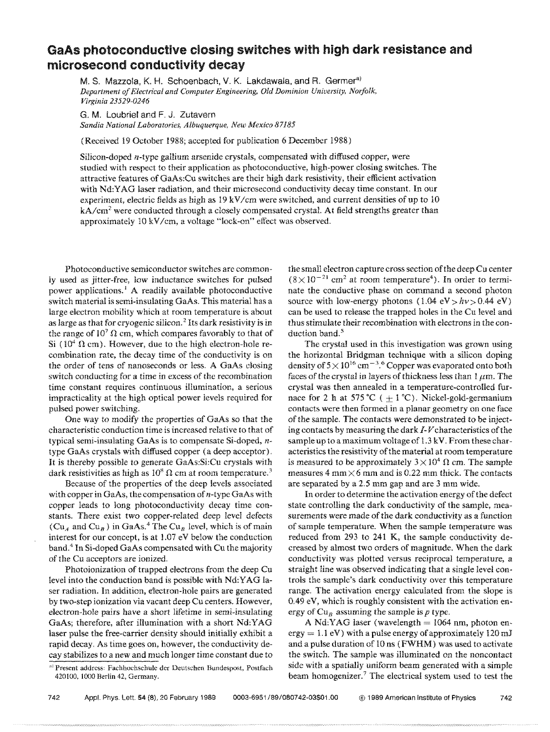## **GaAs photoconductive ciosing switches with high dark resistance and microsecond conductivity decay**

M. S. Mazzola, K. H. Schoenbach, V. K. Lakdawala, and R. Germer<sup>a)</sup> *Department of Electrical and Computer Engineering, Old Dominion University, Norfolk. Virginia 23529-0246* 

G. M. Loubriel and F. J. Zutavern *Sandia National Laboratories, Albuquerque. New Mexico 87185* 

(Received 19 October 1988; accepted for publication 6 December 1988)

Silicon-doped n-type gallium arsenide crystals, compensated with diffused copper, were studied with respect to their application as photoconductive, high-power closing switches. The attractive features of GaAs:Cu switches are their high dark resistivity, their efficient activation with Nd:YAG laser radiation, and their microsecond conductivity decay time constant. In our experiment, electric fields as high as  $19 \text{ kV/cm}$  were switched, and current densities of up to 10  $kA/cm<sup>2</sup>$  were conducted through a closely compensated crystal. At field strengths greater than approximately 10 kV /cm, a voltage "lock-on" effect was observed.

Photoconductive semiconductor switches are commonly used as jitter-free, low inductance switches for pulsed power applications. I A readily available photoconductive switch material is semi-insulating GaAs. This material has a large electron mobility which at room temperature is about as large as that for cryogenic silicon.<sup>2</sup> Its dark resistivity is in the range of  $10^7 \Omega$  cm, which compares favorably to that of Si ( $10<sup>4</sup> \Omega$  cm). However, due to the high electron-hole recombination rate, the decay time of the conductivity is on the order of tens of nanoseconds or less. A GaAs closing switch conducting for a time in excess of the recombination time constant requires continuous illumination, a serious impracticality at the high optical power levels required for pulsed power switching.

One way to modify the properties of GaAs so that the characteristic conduction time is increased relative to that of typical semi-insulating GaAs is to compensate Si-doped,  $n$ type GaAs crystals with diffused copper (a deep acceptor). It is thereby possible to generate GaAs:Si:Cu crystals with dark resistivities as high as  $10^8 \Omega$  cm at room temperature.<sup>3</sup>

Because of the properties of the deep levels associated with copper in GaAs, the compensation of n-type GaAs with copper leads to long photoconductivity decay time constants. There exist two copper-related deep level defects  $(Cu_A$  and  $Cu_B$ ) in GaAs.<sup>4</sup> The Cu<sub>B</sub> level, which is of main interest for our concept, is at 1.07 eV below the conduction band.4 In Si-doped GaAs compensated with Cu the majority of the Cu acceptors are ionized.

Photoionization of trapped electrons from the deep Cu level into the conduction band is possible with Nd:YAG laser radiation. In addition, electron-hole pairs are generated by two-step ionization via vacant deep Cu centers. However, electron-hole pairs have a short lifetime in semi-insulating GaAs; therefore, after illumination with a short Nd:YAG laser pulse the free-carrier density should initialiy exhibit a rapid decay. As time goes on, however, the conductivity decay stabilizes to a new and much longer time constant due to the small electron capture cross section of the deep Cu center  $(8\times10^{-21}$  cm<sup>2</sup> at room temperature<sup>4</sup>). In order to terminate the conductive phase on command a second photon source with low-energy photons  $(1.04 \text{ eV} > h\nu > 0.44 \text{ eV})$ can be used to release the trapped holes in the Cu level and thus stimulate their recombination with electrons in the conduction band.<sup>5</sup>

The crystal used in this investigation was grown using the horizontal Bridgman technique with a silicon doping density of  $5 \times 10^{16}$  cm<sup>-3.6</sup> Copper was evaporated onto both faces of the crystal in layers of thickness less than  $1 \mu m$ . The crystal was then annealed in a temperature-controlled furnace for 2 h at 575 °C ( $+1$  °C). Nickel-gold-germanium contacts were then formed in a planar geometry on one face of the sample. The contacts were demonstrated to be injecting contacts by measuring the dark J-*V* characteristics of the sample up to a maximum voltage of 1.3 kV. From these characteristics the resistivity of the material at room temperature is measured to be approximately  $3 \times 10^4$   $\Omega$  cm. The sample measures 4 mm  $\times$  6 mm and is 0.22 mm thick. The contacts are separated by a 2.5 mm gap and are 3 mm wide.

In order to determine the activation energy of the defect state controlling the dark conductivity of the sample, measurements were made of the dark conductivity as a function of sample temperature. When the sample temperature was reduced from 293 to 241 K, the sample conductivity decreased by almost two orders of magnitude. When the dark conductivity was plotted versus reciprocal temperature, a straight line was observed indicating that a single level controls the sample's dark conductivity over this temperature range. The activation energy calculated from the slope is 0.49 eV, which is roughly consistent with the activation energy of  $Cu_B$  assuming the sample is  $p$  type.

A Nd:YAG laser (wavelength  $= 1064$  nm, photon en- $\text{ergy} = 1.1 \text{ eV}$ ) with a pulse energy of approximately 120 mJ and a pulse duration of 10 ns (FWHM) was used to activate the switch. The sample was illuminated on the noncontact side with a spatially uniform beam generated with a simple beam homogenizer.<sup>7</sup> The electrical system used to test the

a) Present address: Fachhochschule der Deutschen Bundespost, Postfach 420100, 1000 Berlin 42. Germany.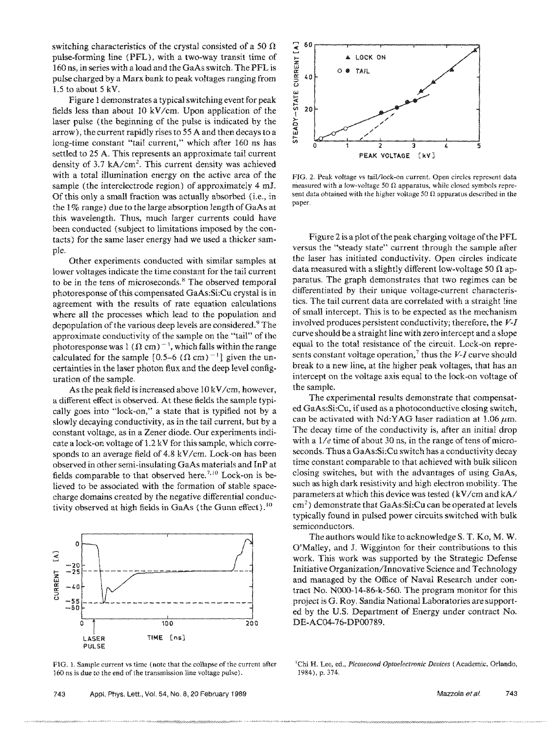switching characteristics of the crystal consisted of a 50  $\Omega$ pulse-forming line (PFL), with a two-way transit time of 160 ns, in series with a load and the GaAs switch. The PFL is pulse charged by a Marx bank to peak voltages ranging from 1.5 to about 5 kV.

Figure 1 demonstrates a typical switching event for peak fields less than about 10 kV /cm. Upon application of the laser pulse (the beginning of the pulse is indicated by the arrow), the current rapidly rises to 55 A and then decays to a long-time constant "tail current," which after 160 ns has settled to 25 A. This represents an approximate tail current density of  $3.7 \text{ kA/cm}^2$ . This current density was achieved with a total illumination energy on the active area of the sample (the interelectrode region) of approximately 4 *mI.*  Of this only a small fraction was actually absorbed (i.e., in the 1 % range) due to the large absorption length of GaAs at this wavelength. Thus, much larger currents could have been conducted (subject to limitations imposed by the contacts) for the same laser energy had we used a thicker sample.

Other experiments conducted with similar samples at lower voltages indicate the time constant for the tail current to be in the tens of microseconds. 8 The observed temporal photo response of this compensated GaAs:Si:Cu crystal is in agreement with the results of rate equation calculations where all the processes which lead to the population and depopulation of the various deep levels are considered.<sup>9</sup> The approximate conductivity of the sample on the "tail" of the photoresponse was 1 ( $\Omega$  cm)<sup>-1</sup>, which falls within the range calculated for the sample  $[0.5-6 (\Omega \text{ cm})^{-1}]$  given the uncertainties in the laser photon flux and the deep level configuration of the sample.

As the peak field is increased above  $10 \, \text{kV/cm}$ , however, a different effect is observed. At these fields the sample typically goes into "lock-on," a state that is typified not by a slowly decaying conductivity, as in the tail current, but by a constant voltage, as in a Zener diode. Our experiments indicate a lock-on voltage of 1.2 kV for this sample, which corresponds to an average field of 4.8 kV/cm. Lock-on has been observed in other semi-insulating GaAs materials and InP at fields comparable to that observed here.<sup>7,10</sup> Lock-on is believed to be associated with the formation of stable spacecharge domains created by the negative differential conductivity observed at high fields in GaAs (the Gunn effect).<sup>10</sup>



FIG. L Sample current vs time (note that the collapse of the current after 160 ns is due to the end of the transmission line voltage pulse).

.,. >,., ••• ;0.' •••••••••••••.• ..-. •••••••••••.•••.• -. - ••••• ~., •• , ••.• -; .-.-' •.•.•. -;.; •••••• -; •••• :.:.:;;.:o:.: •.• : •••••••••• ~.:.:.:.~.:.~.:.;o:.: •.• ; •.•••.•• -; •• ' •..•. ·.·.·.··.v.



FIG. 2. Peak voltage vs tail/lock-on current. Open circles represent data measured with a low-voltage 50  $\Omega$  apparatus, while closed symbols represent data obtained with the higher voltage 50  $\Omega$  apparatus described in the paper.

Figure 2 is a plot of the peak charging voltage of the PFL versus the "steady state" current through the sample after the laser has initiated conductivity. Open circles indicate data measured with a slightly different low-voltage 50  $\Omega$  apparatus. The graph demonstrates that two regimes can be differentiated by their unique voltage-current characteristics. The tail current data are correlated with a straight line of small intercept. This is to be expected as the mechanism involved produces persistent conductivity; therefore, the *V-I*  curve should be a straight line with zero intercept and a slope equal to the total resistance of the circuit, Lock-on represents constant voltage operation,<sup>7</sup> thus the  $V-I$  curve should break to a new line, at the higher peak voltages, that has an intercept on the voltage axis equal to the lock-on voltage of the sample.

The experimental results demonstrate that compensated GaAs:Si:Cu, if used as a photoconductive closing switch, can be activated with Nd:YAG laser radiation at  $1.06 \mu m$ . The decay time of the conductivity is, after an initial drop with a  $1/e$  time of about 30 ns, in the range of tens of microseconds. Thus a GaAs:Si:Cu switch has a conductivity decay time constant comparable to that achieved with bulk silicon dosing switches, but with the advantages of using GaAs, such as high dark resistivity and high electron mobility. The parameters at which this device was tested (kV /cm and kA/  $cm<sup>2</sup>$ ) demonstrate that GaAs:Si:Cu can be operated at levels typically found in pulsed power circuits switched with bulk semiconductors.

The authors would like to acknowledge S. T. Ko, M. W, O'Malley, and J. Wigginton for their contributions to this work. This work was supported by the Strategic Defense Initiative Organization/Innovative Science and Technology and managed by the Office of Naval Research under contract No. NOOO-14-86-k-560. The program monitor for this project is G. Roy. Sandia National Laboratories are supported by the US. Department of Energy under contract No. DE-AC04-76-DPOO789.

'Chi H. Lee, ed., *Picosecond Optoelectronic Devices* (Academic, Orlando, 1984), p. 374.